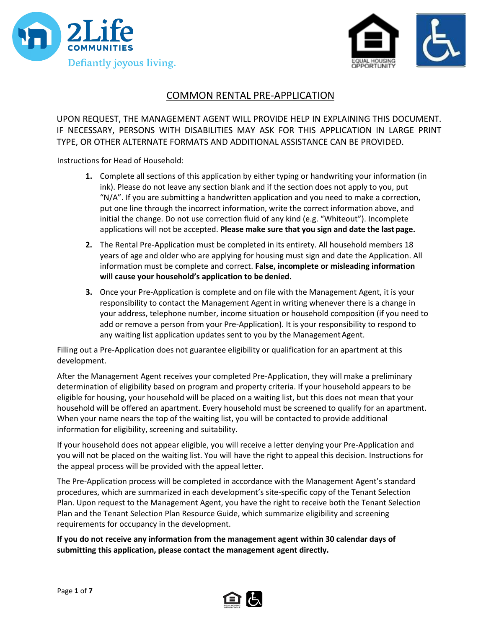



# COMMON RENTAL PRE-APPLICATION

UPON REQUEST, THE MANAGEMENT AGENT WILL PROVIDE HELP IN EXPLAINING THIS DOCUMENT. IF NECESSARY, PERSONS WITH DISABILITIES MAY ASK FOR THIS APPLICATION IN LARGE PRINT TYPE, OR OTHER ALTERNATE FORMATS AND ADDITIONAL ASSISTANCE CAN BE PROVIDED.

Instructions for Head of Household:

- **1.** Complete all sections of this application by either typing or handwriting your information (in ink). Please do not leave any section blank and if the section does not apply to you, put "N/A". If you are submitting a handwritten application and you need to make a correction, put one line through the incorrect information, write the correct information above, and initial the change. Do not use correction fluid of any kind (e.g. "Whiteout"). Incomplete applications will not be accepted. **Please make sure that you sign and date the lastpage.**
- **2.** The Rental Pre-Application must be completed in its entirety. All household members 18 years of age and older who are applying for housing must sign and date the Application. All information must be complete and correct. **False, incomplete or misleading information will cause your household's application to be denied.**
- **3.** Once your Pre-Application is complete and on file with the Management Agent, it is your responsibility to contact the Management Agent in writing whenever there is a change in your address, telephone number, income situation or household composition (if you need to add or remove a person from your Pre-Application). It is your responsibility to respond to any waiting list application updates sent to you by the Management Agent.

Filling out a Pre-Application does not guarantee eligibility or qualification for an apartment at this development.

After the Management Agent receives your completed Pre-Application, they will make a preliminary determination of eligibility based on program and property criteria. If your household appears to be eligible for housing, your household will be placed on a waiting list, but this does not mean that your household will be offered an apartment. Every household must be screened to qualify for an apartment. When your name nears the top of the waiting list, you will be contacted to provide additional information for eligibility, screening and suitability.

If your household does not appear eligible, you will receive a letter denying your Pre-Application and you will not be placed on the waiting list. You will have the right to appeal this decision. Instructions for the appeal process will be provided with the appeal letter.

The Pre-Application process will be completed in accordance with the Management Agent's standard procedures, which are summarized in each development's site-specific copy of the Tenant Selection Plan. Upon request to the Management Agent, you have the right to receive both the Tenant Selection Plan and the Tenant Selection Plan Resource Guide, which summarize eligibility and screening requirements for occupancy in the development.

**If you do not receive any information from the management agent within 30 calendar days of submitting this application, please contact the management agent directly.**

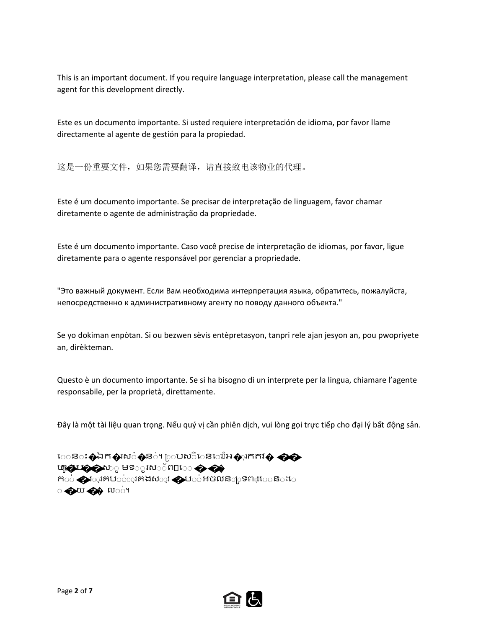This is an important document. If you require language interpretation, please call the management agent for this development directly.

Este es un documento importante. Si usted requiere interpretación de idioma, por favor llame directamente al agente de gestión para la propiedad.

这是一份重要文件,如果您需要翻译,请直接致电该物业的代理。

Este é um documento importante. Se precisar de interpretação de linguagem, favor chamar diretamente o agente de administração da propriedade.

Este é um documento importante. Caso você precise de interpretação de idiomas, por favor, ligue diretamente para o agente responsável por gerenciar a propriedade.

"Это важный документ. Если Вам необходима интерпретация языка, обратитесь, пожалуйста, непосредственно к административному агенту по поводу данного объекта."

Se yo dokiman enpòtan. Si ou bezwen sèvis entèpretasyon, tanpri rele ajan jesyon an, pou pwopriyete an, dirèkteman.

Questo è un documento importante. Se si ha bisogno di un interprete per la lingua, chiamare l'agente responsabile, per la proprietà, direttamente.

Đây là một tài liệu quan trọng. Nếu quý vị cần phiên dịch, vui lòng gọi trực tiếp cho đại lý bất động sản.

េន**ះ �ឯក�រស**ំ�ន់។ ្រុបស៊ិេនេើរើអ�រុកតវ� �� ប**ក្ខេងបង្កូ**នស឴ួមទ**ួរស**័ព**□េ ← ଈ** កា់��រុេគេប់់់ុខគងស**ុរ �**ប់់អចលន<sub>ါ</sub>្រទព្∎េន**ះេ** ି ଈାଧ ପୁରୁ ା ଦ୍ରା

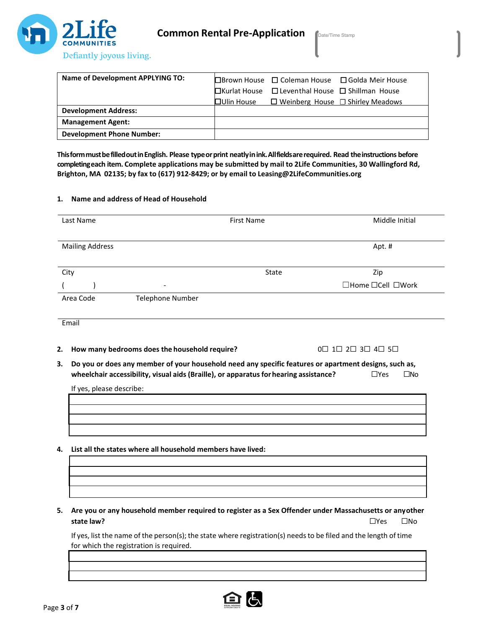

| Name of Development APPLYING TO: |                                                                  | $\Box$ Brown House $\Box$ Coleman House $\Box$ Golda Meir House |
|----------------------------------|------------------------------------------------------------------|-----------------------------------------------------------------|
|                                  | $\Box$ Kurlat House $\Box$ Leventhal House $\Box$ Shillman House |                                                                 |
|                                  | $\Box$ Ulin House $\Box$ Weinberg House $\Box$ Shirley Meadows   |                                                                 |
| <b>Development Address:</b>      |                                                                  |                                                                 |
| <b>Management Agent:</b>         |                                                                  |                                                                 |
| <b>Development Phone Number:</b> |                                                                  |                                                                 |

**ThisformmustbefilledoutinEnglish. Please typeorprint neatlyinink.Allfieldsarerequired. Read theinstructions before completingeach item. Complete applications may be submitted by mail to 2Life Communities, 30 Wallingford Rd, Brighton, MA 02135; by fax to (617) 912-8429; or by email to Leasing@2LifeCommunities.org**

### **1. Name and address of Head of Household**

| Last Name              |                          | <b>First Name</b> | Middle Initial    |
|------------------------|--------------------------|-------------------|-------------------|
| <b>Mailing Address</b> |                          |                   | Apt. #            |
| City                   |                          | State             | Zip               |
|                        | $\overline{\phantom{a}}$ |                   | □Home □Cell □Work |
| Area Code              | <b>Telephone Number</b>  |                   |                   |

Email

**2. How many bedrooms does the household require?** 0☐ 1☐ 2☐ 3☐ 4☐ 5☐

**3. Do you or does any member of your household need any specific features or apartment designs, such as, wheelchair** accessibility, visual aids (Braille), or apparatus for hearing assistance? □ □Yes □No

If yes, please describe:

**4. List all the states where all household members have lived:**

**5. Are you or any household member required to register as a Sex Offender under Massachusetts or anyother state law?** ☐Yes ☐No

If yes, list the name of the person(s); the state where registration(s) needsto be filed and the length of time for which the registration is required.

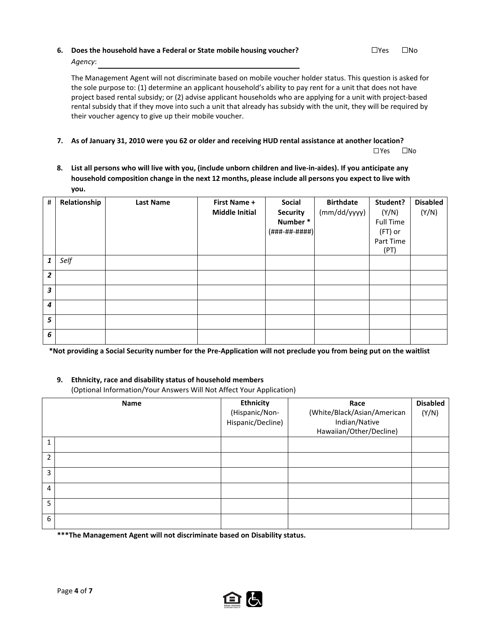# **6. Does the household have a Federal or State mobile housing voucher?** ☐Yes ☐No *Agency*:

The Management Agent will not discriminate based on mobile voucher holder status. This question is asked for the sole purpose to: (1) determine an applicant household's ability to pay rent for a unit that does not have project based rental subsidy; or (2) advise applicant households who are applying for a unit with project-based rental subsidy that if they move into such a unit that already has subsidy with the unit, they will be required by their voucher agency to give up their mobile voucher.

### **7. As of January 31, 2010 were you 62 or older and receiving HUD rental assistance at another location?**

☐Yes ☐No

**8. List all persons who will live with you, (include unborn children and live-in-aides). If you anticipate any household composition change in the next 12 months, please include all persons you expect to live with you.**

| $\#$             | Relationship | <b>Last Name</b> | <b>First Name +</b><br><b>Middle Initial</b> | Social<br><b>Security</b><br>Number*<br>$($ ###-##-####) | <b>Birthdate</b><br>(mm/dd/yyyy) | Student?<br>(Y/N)<br><b>Full Time</b><br>(FT) or<br>Part Time<br>(PT) | <b>Disabled</b><br>(Y/N) |
|------------------|--------------|------------------|----------------------------------------------|----------------------------------------------------------|----------------------------------|-----------------------------------------------------------------------|--------------------------|
| $\mathbf{1}$     | Self         |                  |                                              |                                                          |                                  |                                                                       |                          |
| $\overline{2}$   |              |                  |                                              |                                                          |                                  |                                                                       |                          |
| $\mathbf{3}$     |              |                  |                                              |                                                          |                                  |                                                                       |                          |
| $\boldsymbol{4}$ |              |                  |                                              |                                                          |                                  |                                                                       |                          |
| 5                |              |                  |                                              |                                                          |                                  |                                                                       |                          |
| 6                |              |                  |                                              |                                                          |                                  |                                                                       |                          |

**\*Not providing a Social Security number for the Pre-Application will not preclude you from being put on the waitlist**

### **9. Ethnicity, race and disability status of household members**

(Optional Information/Your Answers Will Not Affect Your Application)

|                | Name | <b>Ethnicity</b><br>(Hispanic/Non-<br>Hispanic/Decline) | Race<br>(White/Black/Asian/American<br>Indian/Native<br>Hawaiian/Other/Decline) | <b>Disabled</b><br>(Y/N) |
|----------------|------|---------------------------------------------------------|---------------------------------------------------------------------------------|--------------------------|
| $\mathbf{1}$   |      |                                                         |                                                                                 |                          |
| $\overline{2}$ |      |                                                         |                                                                                 |                          |
| 3              |      |                                                         |                                                                                 |                          |
| 4              |      |                                                         |                                                                                 |                          |
| 5              |      |                                                         |                                                                                 |                          |
| 6              |      |                                                         |                                                                                 |                          |

**\*\*\*The Management Agent will not discriminate based on Disability status.**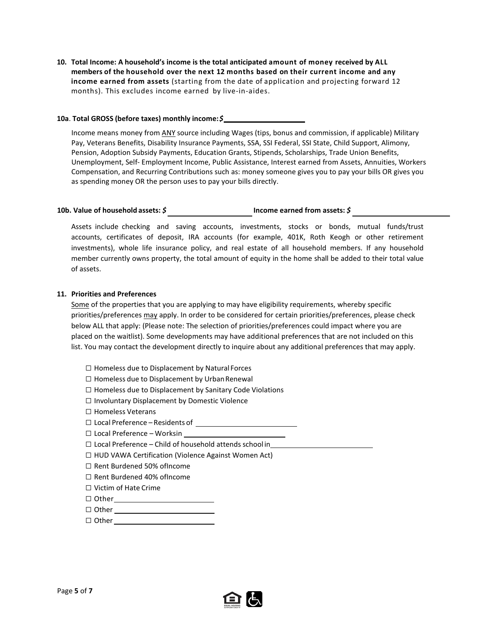**10. Total Income: A household's income is the total anticipated amount of money received by ALL members of the household over the next 12 months based on their current income and any income earned from assets** (starting from the date of application and projecting forward 12 months). This excludes income earned by live-in-aides.

### **10a**. **Total GROSS (before taxes) monthly income:***\$*

Income means money from ANY source including Wages (tips, bonus and commission, if applicable) Military Pay, Veterans Benefits, Disability Insurance Payments, SSA, SSI Federal, SSI State, Child Support, Alimony, Pension, Adoption Subsidy Payments, Education Grants, Stipends, Scholarships, Trade Union Benefits, Unemployment, Self- Employment Income, Public Assistance, Interest earned from Assets, Annuities, Workers Compensation, and Recurring Contributions such as: money someone gives you to pay your bills OR gives you as spending money OR the person uses to pay your bills directly.

# **10b. Value of household assets:** *\$* **Income earned from assets:** *\$*

Assets include checking and saving accounts, investments, stocks or bonds, mutual funds/trust accounts, certificates of deposit, IRA accounts (for example, 401K, Roth Keogh or other retirement investments), whole life insurance policy, and real estate of all household members. If any household member currently owns property, the total amount of equity in the home shall be added to their total value of assets.

### **11. Priorities and Preferences**

Some of the properties that you are applying to may have eligibility requirements, whereby specific priorities/preferences may apply. In order to be considered for certain priorities/preferences, please check below ALL that apply: (Please note: The selection of priorities/preferences could impact where you are placed on the waitlist). Some developments may have additional preferences that are not included on this list. You may contact the development directly to inquire about any additional preferences that may apply.

- ☐ Homeless due to Displacement by Natural Forces
- $\Box$  Homeless due to Displacement by Urban Renewal
- ☐ Homeless due to Displacement by Sanitary Code Violations
- ☐ Involuntary Displacement by Domestic Violence
- ☐ Homeless Veterans
- ☐ Local Preference Residents of
- ☐ Local Preference Worksin
- ☐ Local Preference Child of household attends school in
- ☐ HUD VAWA Certification (Violence Against Women Act)
- ☐ Rent Burdened 50% ofIncome
- ☐ Rent Burdened 40% ofIncome
- ☐ Victim of Hate Crime
- ☐ Other

Page **5** of **7**

- ☐ Other
- ☐ Other

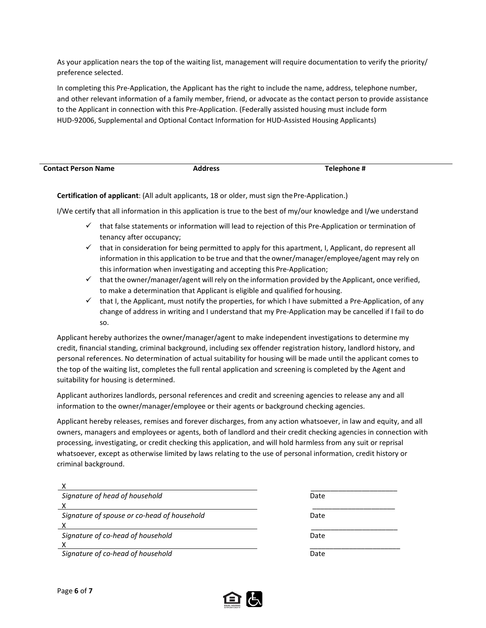As your application nears the top of the waiting list, management will require documentation to verify the priority/ preference selected.

In completing this Pre-Application, the Applicant has the right to include the name, address, telephone number, and other relevant information of a family member, friend, or advocate as the contact person to provide assistance to the Applicant in connection with this Pre-Application. (Federally assisted housing must include form HUD-92006, Supplemental and Optional Contact Information for HUD-Assisted Housing Applicants)

| <b>Contact Person Name</b> | Address | Telephone # |
|----------------------------|---------|-------------|

**Certification of applicant**: (All adult applicants, 18 or older, must sign thePre-Application.)

I/We certify that all information in this application is true to the best of my/our knowledge and I/we understand

- $\checkmark$  that false statements or information will lead to rejection of this Pre-Application or termination of tenancy after occupancy;
- $\checkmark$  that in consideration for being permitted to apply for this apartment, I, Applicant, do represent all information in this application to be true and that the owner/manager/employee/agent may rely on this information when investigating and accepting this Pre-Application;
- $\checkmark$  that the owner/manager/agent will rely on the information provided by the Applicant, once verified, to make a determination that Applicant is eligible and qualified forhousing.
- $\checkmark$  that I, the Applicant, must notify the properties, for which I have submitted a Pre-Application, of any change of address in writing and I understand that my Pre-Application may be cancelled if I fail to do so.

Applicant hereby authorizes the owner/manager/agent to make independent investigations to determine my credit, financial standing, criminal background, including sex offender registration history, landlord history, and personal references. No determination of actual suitability for housing will be made until the applicant comes to the top of the waiting list, completes the full rental application and screening is completed by the Agent and suitability for housing is determined.

Applicant authorizes landlords, personal references and credit and screening agencies to release any and all information to the owner/manager/employee or their agents or background checking agencies.

Applicant hereby releases, remises and forever discharges, from any action whatsoever, in law and equity, and all owners, managers and employees or agents, both of landlord and their credit checking agencies in connection with processing, investigating, or credit checking this application, and will hold harmless from any suit or reprisal whatsoever, except as otherwise limited by laws relating to the use of personal information, credit history or criminal background.

| Signature of head of household              | Date |
|---------------------------------------------|------|
|                                             |      |
| Signature of spouse or co-head of household | Date |
|                                             |      |
| Signature of co-head of household           | Date |
|                                             |      |
| Signature of co-head of household           | Date |

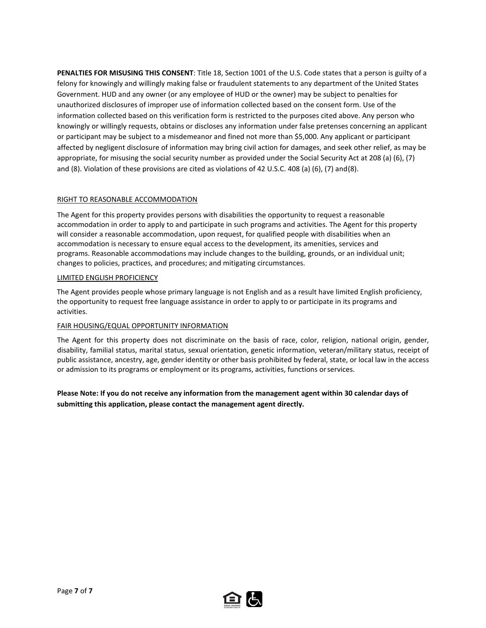**PENALTIES FOR MISUSING THIS CONSENT**: Title 18, Section 1001 of the U.S. Code states that a person is guilty of a felony for knowingly and willingly making false or fraudulent statements to any department of the United States Government. HUD and any owner (or any employee of HUD or the owner) may be subject to penalties for unauthorized disclosures of improper use of information collected based on the consent form. Use of the information collected based on this verification form is restricted to the purposes cited above. Any person who knowingly or willingly requests, obtains or discloses any information under false pretenses concerning an applicant or participant may be subject to a misdemeanor and fined not more than \$5,000. Any applicant or participant affected by negligent disclosure of information may bring civil action for damages, and seek other relief, as may be appropriate, for misusing the social security number as provided under the Social Security Act at 208 (a) (6), (7) and (8). Violation of these provisions are cited as violations of 42 U.S.C. 408 (a) (6), (7) and(8).

## RIGHT TO REASONABLE ACCOMMODATION

The Agent for this property provides persons with disabilities the opportunity to request a reasonable accommodation in order to apply to and participate in such programs and activities. The Agent for this property will consider a reasonable accommodation, upon request, for qualified people with disabilities when an accommodation is necessary to ensure equal access to the development, its amenities, services and programs. Reasonable accommodations may include changes to the building, grounds, or an individual unit; changes to policies, practices, and procedures; and mitigating circumstances.

### LIMITED ENGLISH PROFICIENCY

The Agent provides people whose primary language is not English and as a result have limited English proficiency, the opportunity to request free language assistance in order to apply to or participate in its programs and activities.

### FAIR HOUSING/EQUAL OPPORTUNITY INFORMATION

The Agent for this property does not discriminate on the basis of race, color, religion, national origin, gender, disability, familial status, marital status, sexual orientation, genetic information, veteran/military status, receipt of public assistance, ancestry, age, gender identity or other basis prohibited by federal, state, or local law in the access or admission to its programs or employment or its programs, activities, functions orservices.

**Please Note: If you do not receive any information from the management agent within 30 calendar days of submitting this application, please contact the management agent directly.**